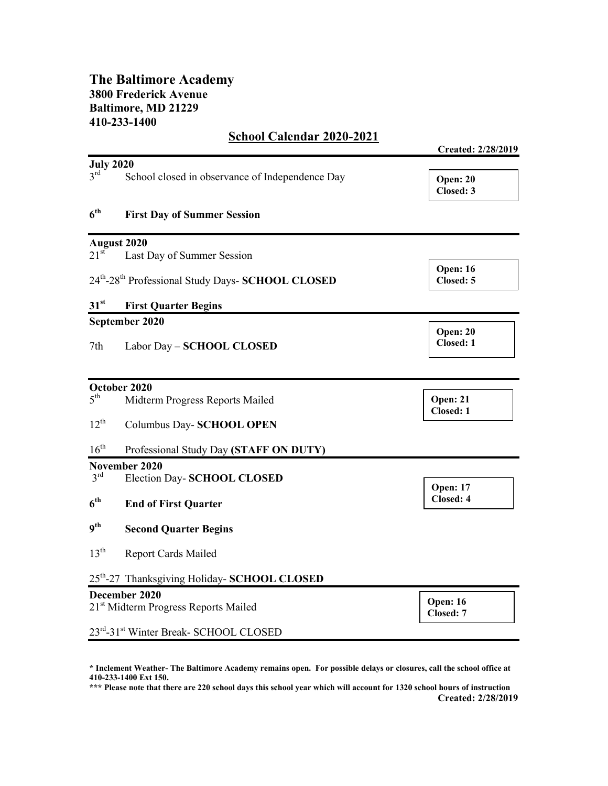## The Baltimore Academy 3800 Frederick Avenue Baltimore, MD 21229 410-233-1400

## School Calendar 2020-2021

|                                                  |                                                  | Created: 2/28/2019           |
|--------------------------------------------------|--------------------------------------------------|------------------------------|
| <b>July 2020</b>                                 |                                                  |                              |
| $3^{\text{rd}}$                                  | School closed in observance of Independence Day  | Open: 20<br>Closed: 3        |
| 6 <sup>th</sup>                                  | <b>First Day of Summer Session</b>               |                              |
|                                                  | <b>August 2020</b>                               |                              |
| $21^{st}$                                        | Last Day of Summer Session                       |                              |
|                                                  | 24th-28th Professional Study Days- SCHOOL CLOSED | <b>Open: 16</b><br>Closed: 5 |
| 31 <sup>st</sup>                                 | <b>First Quarter Begins</b>                      |                              |
|                                                  | September 2020                                   |                              |
| 7th                                              | Labor Day - SCHOOL CLOSED                        | Open: 20<br>Closed: 1        |
|                                                  | October 2020                                     |                              |
| 5 <sup>th</sup>                                  | Midterm Progress Reports Mailed                  | Open: 21<br>Closed: 1        |
| $12^{th}$                                        | Columbus Day- SCHOOL OPEN                        |                              |
| $16^{\text{th}}$                                 | Professional Study Day (STAFF ON DUTY)           |                              |
|                                                  | November 2020                                    |                              |
| 3 <sup>rd</sup>                                  | Election Day-SCHOOL CLOSED                       | <b>Open: 17</b>              |
| 6 <sup>th</sup>                                  | <b>End of First Quarter</b>                      | Closed: 4                    |
| q <sup>th</sup>                                  | <b>Second Quarter Begins</b>                     |                              |
| $13^{\text{th}}$                                 | <b>Report Cards Mailed</b>                       |                              |
|                                                  | 25th-27 Thanksgiving Holiday- SCHOOL CLOSED      |                              |
|                                                  | December 2020                                    |                              |
| 21 <sup>st</sup> Midterm Progress Reports Mailed |                                                  | Open: 16<br>Closed: 7        |
|                                                  | 23rd-31st Winter Break- SCHOOL CLOSED            |                              |

\* Inclement Weather- The Baltimore Academy remains open. For possible delays or closures, call the school office at 410-233-1400 Ext 150.

\*\*\* Please note that there are 220 school days this school year which will account for 1320 school hours of instruction Created: 2/28/2019